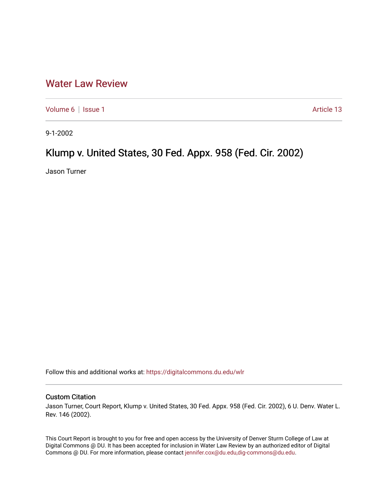## [Water Law Review](https://digitalcommons.du.edu/wlr)

[Volume 6](https://digitalcommons.du.edu/wlr/vol6) | [Issue 1](https://digitalcommons.du.edu/wlr/vol6/iss1) Article 13

9-1-2002

# Klump v. United States, 30 Fed. Appx. 958 (Fed. Cir. 2002)

Jason Turner

Follow this and additional works at: [https://digitalcommons.du.edu/wlr](https://digitalcommons.du.edu/wlr?utm_source=digitalcommons.du.edu%2Fwlr%2Fvol6%2Fiss1%2F13&utm_medium=PDF&utm_campaign=PDFCoverPages) 

#### Custom Citation

Jason Turner, Court Report, Klump v. United States, 30 Fed. Appx. 958 (Fed. Cir. 2002), 6 U. Denv. Water L. Rev. 146 (2002).

This Court Report is brought to you for free and open access by the University of Denver Sturm College of Law at Digital Commons @ DU. It has been accepted for inclusion in Water Law Review by an authorized editor of Digital Commons @ DU. For more information, please contact [jennifer.cox@du.edu,dig-commons@du.edu.](mailto:jennifer.cox@du.edu,dig-commons@du.edu)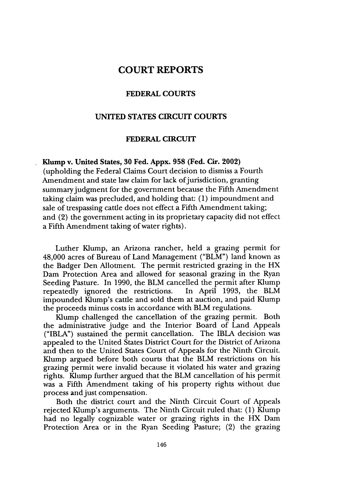### **COURT REPORTS**

#### **FEDERAL COURTS**

#### **UNITED STATES CIRCUIT COURTS**

#### **FEDERAL CIRCUIT**

#### **Klump v. United States, 30 Fed. Appx. 958 (Fed. Cir. 2002)**

(upholding the Federal Claims Court decision to dismiss a Fourth Amendment and state law claim for lack of jurisdiction, granting summary judgment for the government because the Fifth Amendment taking claim was precluded, and holding that: (1) impoundment and sale of trespassing cattle does not effect a Fifth Amendment taking; and (2) the government acting in its proprietary capacity did not effect a Fifth Amendment taking of water rights).

Luther Klump, an Arizona rancher, held a grazing permit for 48,000 acres of Bureau of Land Management ("BLM") land known as the Badger Den Allotment. The permit restricted grazing in the HX Dam Protection Area and allowed for seasonal grazing in the Ryan Seeding Pasture. In 1990, the BLM cancelled the permit after Klump repeatedly ignored the restrictions. In April 1993, the BLM impounded Klump's cattle and sold them at auction, and paid Klump the proceeds minus costs in accordance with BLM regulations.

Klump challenged the cancellation of the grazing permit. Both the administrative judge and the Interior Board of Land Appeals ("IBLA") sustained the permit cancellation. The IBLA decision was appealed to the United States District Court for the District of Arizona and then to the United States Court of Appeals for the Ninth Circuit. Klump argued before both courts that the BLM restrictions on his grazing permit were invalid because it violated his water and grazing rights. Klump further argued that the BLM cancellation of his permit was a Fifth Amendment taking of his property rights without due process and just compensation.

Both the district court and the Ninth Circuit Court of Appeals rejected Klump's arguments. The Ninth Circuit ruled that: (1) Klump had no legally cognizable water or grazing rights in the HX Dam Protection Area or in the Ryan Seeding Pasture; (2) the grazing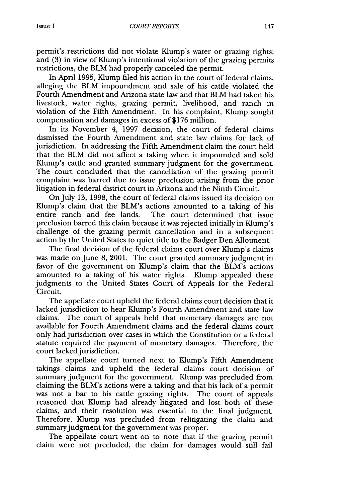permit's restrictions did not violate Klump's water or grazing rights; and (3) in view of Klump's intentional violation of the grazing permits restrictions, the BLM had properly canceled the permit.

In April 1995, Klump filed his action in the court of federal claims, alleging the BLM impoundment and sale of his cattle violated the Fourth Amendment and Arizona state law and that BLM had taken his livestock, water rights, grazing permit, livelihood, and ranch in violation of the Fifth Amendment. In his complaint, Klump sought compensation and damages in excess of \$176 million.

In its November 4, 1997 decision, the court of federal claims dismissed the Fourth Amendment and state law claims for lack of jurisdiction. In addressing the Fifth Amendment claim the court held that the BLM did not affect a taking when it impounded and sold Klump's cattle and granted summary judgment for the government. The court concluded that the cancellation of the grazing permit complaint was barred due to issue preclusion arising from the prior litigation in federal district court in Arizona and the Ninth Circuit.

On July 13, 1998, the court of federal claims issued its decision on Klump's claim that the BLM's actions amounted to a taking of his entire ranch and fee lands. The court determined that issue preclusion barred this claim because it was rejected initially in Klump's challenge of the grazing permit cancellation and in a subsequent action by the United States to quiet title to the Badger Den Allotment.

The final decision of the federal claims court over Klump's claims was made on June 8, 2001. The court granted summary judgment in favor of the government on Klump's claim that the BLM's actions amounted to a taking of his water rights. Klump appealed these judgments to the United States Court of Appeals for the Federal Circuit.

The appellate court upheld the federal claims court decision that it lacked jurisdiction to hear Klump's Fourth Amendment and state law claims. The court of appeals held that monetary damages are not available for Fourth Amendment claims and the federal claims court only had jurisdiction over cases in which the Constitution or a federal statute required the payment of monetary damages. Therefore, the court lacked jurisdiction.

The appellate court turned next to Kump's Fifth Amendment takings claims and upheld the federal claims court decision of summary judgment for the government. Klump was precluded from claiming the BLM's actions were a taking and that his lack of a permit was not a bar to his cattle grazing rights. The court of appeals reasoned that Klump had already litigated and lost both of these claims, and their resolution was essential to the final judgment. Therefore, Klump was precluded from relitigating the claim and summary judgment for the government was proper.

The appellate court went on to note that if the grazing permit claim were not precluded, the claim for damages would still fail